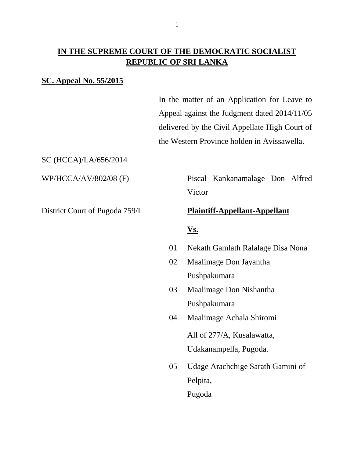### **IN THE SUPREME COURT OF THE DEMOCRATIC SOCIALIST REPUBLIC OF SRI LANKA**

#### **SC. Appeal No. 55/2015**

In the matter of an Application for Leave to Appeal against the Judgment dated 2014/11/05 delivered by the Civil Appellate High Court of the Western Province holden in Avissawella.

SC (HCCA)/LA/656/2014

WP/HCCA/AV/802/08 (F) Piscal Kankanamalage Don Alfred **Victor** 

#### District Court of Pugoda 759/L **Plaintiff-Appellant-Appellant**

#### **Vs.**

- 01 Nekath Gamlath Ralalage Disa Nona
- 02 Maalimage Don Jayantha Pushpakumara
- 03 Maalimage Don Nishantha Pushpakumara
- 04 Maalimage Achala Shiromi

All of 277/A, Kusalawatta, Udakanampella, Pugoda.

05 Udage Arachchige Sarath Gamini of Pelpita,

Pugoda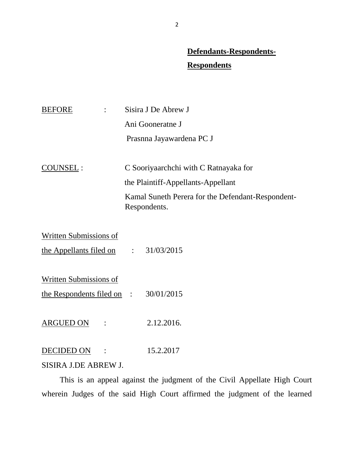# **Defendants-Respondents-**

## **Respondents**

| <b>BEFORE</b> | Sisira J De Abrew J                                               |
|---------------|-------------------------------------------------------------------|
|               | Ani Gooneratne J                                                  |
|               | Prasnna Jayawardena PC J                                          |
|               |                                                                   |
| COUNSEL:      | C Sooriyaarchchi with C Ratnayaka for                             |
|               | the Plaintiff-Appellants-Appellant                                |
|               | Kamal Suneth Perera for the Defendant-Respondent-<br>Respondents. |
|               |                                                                   |

| $\mathcal{L} = \mathcal{L}$           | 31/03/2015 |
|---------------------------------------|------------|
|                                       |            |
|                                       |            |
| the Respondents filed on $\therefore$ | 30/01/2015 |
|                                       |            |
|                                       |            |

ARGUED ON : 2.12.2016.

DECIDED ON : 15.2.2017

#### SISIRA J.DE ABREW J.

 This is an appeal against the judgment of the Civil Appellate High Court wherein Judges of the said High Court affirmed the judgment of the learned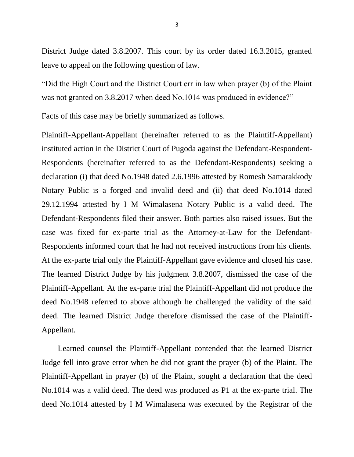District Judge dated 3.8.2007. This court by its order dated 16.3.2015, granted leave to appeal on the following question of law.

"Did the High Court and the District Court err in law when prayer (b) of the Plaint was not granted on 3.8.2017 when deed No.1014 was produced in evidence?"

Facts of this case may be briefly summarized as follows.

Plaintiff-Appellant-Appellant (hereinafter referred to as the Plaintiff-Appellant) instituted action in the District Court of Pugoda against the Defendant-Respondent-Respondents (hereinafter referred to as the Defendant-Respondents) seeking a declaration (i) that deed No.1948 dated 2.6.1996 attested by Romesh Samarakkody Notary Public is a forged and invalid deed and (ii) that deed No.1014 dated 29.12.1994 attested by I M Wimalasena Notary Public is a valid deed. The Defendant-Respondents filed their answer. Both parties also raised issues. But the case was fixed for ex-parte trial as the Attorney-at-Law for the Defendant-Respondents informed court that he had not received instructions from his clients. At the ex-parte trial only the Plaintiff-Appellant gave evidence and closed his case. The learned District Judge by his judgment 3.8.2007, dismissed the case of the Plaintiff-Appellant. At the ex-parte trial the Plaintiff-Appellant did not produce the deed No.1948 referred to above although he challenged the validity of the said deed. The learned District Judge therefore dismissed the case of the Plaintiff-Appellant.

 Learned counsel the Plaintiff-Appellant contended that the learned District Judge fell into grave error when he did not grant the prayer (b) of the Plaint. The Plaintiff-Appellant in prayer (b) of the Plaint, sought a declaration that the deed No.1014 was a valid deed. The deed was produced as P1 at the ex-parte trial. The deed No.1014 attested by I M Wimalasena was executed by the Registrar of the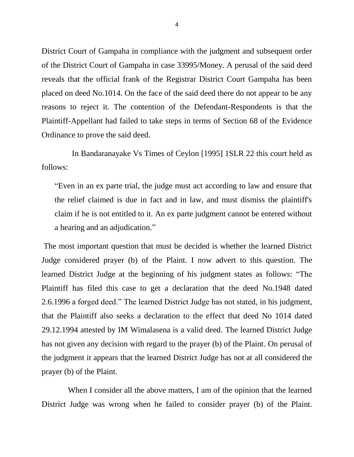District Court of Gampaha in compliance with the judgment and subsequent order of the District Court of Gampaha in case 33995/Money. A perusal of the said deed reveals that the official frank of the Registrar District Court Gampaha has been placed on deed No.1014. On the face of the said deed there do not appear to be any reasons to reject it. The contention of the Defendant-Respondents is that the Plaintiff-Appellant had failed to take steps in terms of Section 68 of the Evidence Ordinance to prove the said deed.

 In Bandaranayake Vs Times of Ceylon [1995] 1SLR 22 this court held as follows:

"Even in an ex parte trial, the judge must act according to law and ensure that the relief claimed is due in fact and in law, and must dismiss the plaintiff's claim if he is not entitled to it. An ex parte judgment cannot be entered without a hearing and an adjudication."

The most important question that must be decided is whether the learned District Judge considered prayer (b) of the Plaint. I now advert to this question. The learned District Judge at the beginning of his judgment states as follows: "The Plaintiff has filed this case to get a declaration that the deed No.1948 dated 2.6.1996 a forged deed." The learned District Judge has not stated, in his judgment, that the Plaintiff also seeks a declaration to the effect that deed No 1014 dated 29.12.1994 attested by IM Wimalasena is a valid deed. The learned District Judge has not given any decision with regard to the prayer (b) of the Plaint. On perusal of the judgment it appears that the learned District Judge has not at all considered the prayer (b) of the Plaint.

When I consider all the above matters, I am of the opinion that the learned District Judge was wrong when he failed to consider prayer (b) of the Plaint.